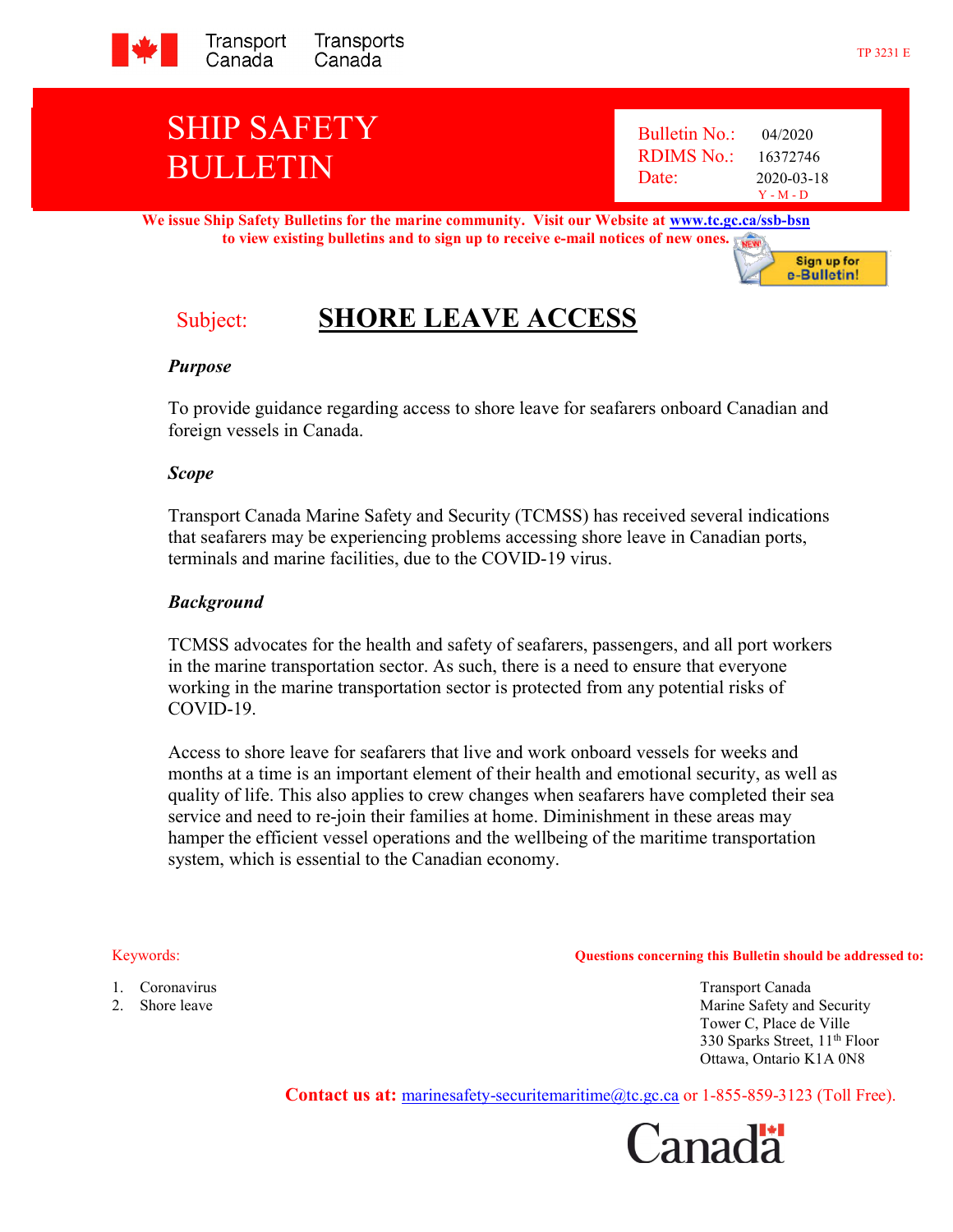

# SHIP SAFETY BULLETIN

 Bulletin No.: 04/2020 RDIMS No.: 16372746 Date: 2020-03-18 Y - M - D

We issue Ship Safety Bulletins for the marine community. Visit our Website at www.tc.gc.ca/ssb-bsn to view existing bulletins and to sign up to receive e-mail notices of new ones.



## Subject: SHORE LEAVE ACCESS

### Purpose

To provide guidance regarding access to shore leave for seafarers onboard Canadian and foreign vessels in Canada.

#### Scope

Transport Canada Marine Safety and Security (TCMSS) has received several indications that seafarers may be experiencing problems accessing shore leave in Canadian ports, terminals and marine facilities, due to the COVID-19 virus.

### Background

TCMSS advocates for the health and safety of seafarers, passengers, and all port workers in the marine transportation sector. As such, there is a need to ensure that everyone working in the marine transportation sector is protected from any potential risks of COVID-19.

Access to shore leave for seafarers that live and work onboard vessels for weeks and months at a time is an important element of their health and emotional security, as well as quality of life. This also applies to crew changes when seafarers have completed their sea service and need to re-join their families at home. Diminishment in these areas may hamper the efficient vessel operations and the wellbeing of the maritime transportation system, which is essential to the Canadian economy.

- Keywords: Questions concerning this Bulletin should be addressed to:
- -

1. Coronavirus Transport Canada 2. Shore leave a metal of the state of the Safety and Security and Security and Security 2. Tower C, Place de Ville 330 Sparks Street, 11<sup>th</sup> Floor Ottawa, Ontario K1A 0N8

Contact us at: marinesafety-securitemaritime@tc.gc.ca or 1-855-859-3123 (Toll Free).